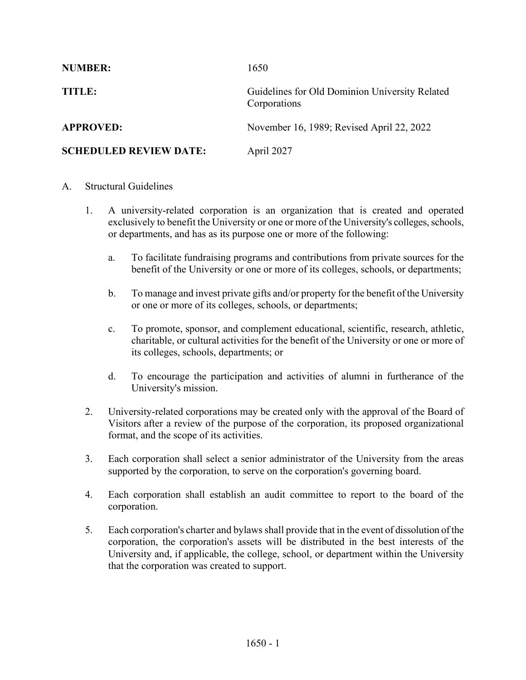| <b>NUMBER:</b>                | 1650                                                           |
|-------------------------------|----------------------------------------------------------------|
| <b>TITLE:</b>                 | Guidelines for Old Dominion University Related<br>Corporations |
| <b>APPROVED:</b>              | November 16, 1989; Revised April 22, 2022                      |
| <b>SCHEDULED REVIEW DATE:</b> | April 2027                                                     |

## A. Structural Guidelines

- 1. A university-related corporation is an organization that is created and operated exclusively to benefit the University or one or more of the University's colleges, schools, or departments, and has as its purpose one or more of the following:
	- a. To facilitate fundraising programs and contributions from private sources for the benefit of the University or one or more of its colleges, schools, or departments;
	- b. To manage and invest private gifts and/or property for the benefit of the University or one or more of its colleges, schools, or departments;
	- c. To promote, sponsor, and complement educational, scientific, research, athletic, charitable, or cultural activities for the benefit of the University or one or more of its colleges, schools, departments; or
	- d. To encourage the participation and activities of alumni in furtherance of the University's mission.
- 2. University-related corporations may be created only with the approval of the Board of Visitors after a review of the purpose of the corporation, its proposed organizational format, and the scope of its activities.
- 3. Each corporation shall select a senior administrator of the University from the areas supported by the corporation, to serve on the corporation's governing board.
- 4. Each corporation shall establish an audit committee to report to the board of the corporation.
- 5. Each corporation's charter and bylaws shall provide that in the event of dissolution of the corporation, the corporation's assets will be distributed in the best interests of the University and, if applicable, the college, school, or department within the University that the corporation was created to support.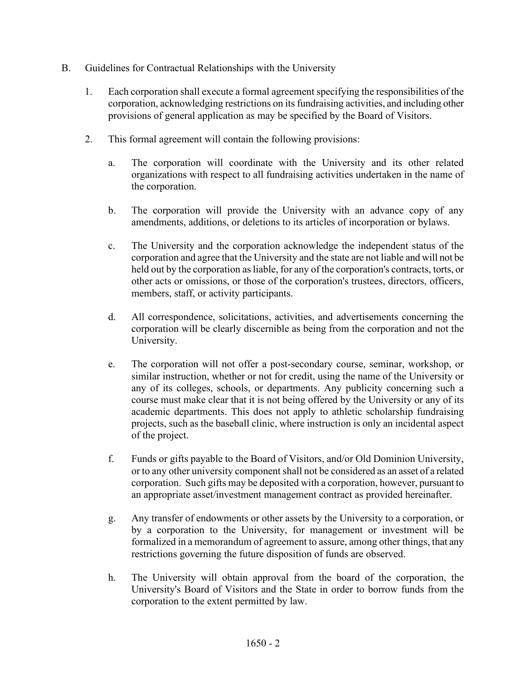- B. Guidelines for Contractual Relationships with the University
	- 1. Each corporation shall execute a formal agreement specifying the responsibilities of the corporation, acknowledging restrictions on its fundraising activities, and including other provisions of general application as may be specified by the Board of Visitors.
	- 2. This formal agreement will contain the following provisions:
		- a. The corporation will coordinate with the University and its other related organizations with respect to all fundraising activities undertaken in the name of the corporation.
		- b. The corporation will provide the University with an advance copy of any amendments, additions, or deletions to its articles of incorporation or bylaws.
		- c. The University and the corporation acknowledge the independent status of the corporation and agree that the University and the state are not liable and will not be held out by the corporation as liable, for any of the corporation's contracts, torts, or other acts or omissions, or those of the corporation's trustees, directors, officers, members, staff, or activity participants.
		- d. All correspondence, solicitations, activities, and advertisements concerning the corporation will be clearly discernible as being from the corporation and not the University.
		- e. The corporation will not offer a post-secondary course, seminar, workshop, or similar instruction, whether or not for credit, using the name of the University or any of its colleges, schools, or departments. Any publicity concerning such a course must make clear that it is not being offered by the University or any of its academic departments. This does not apply to athletic scholarship fundraising projects, such as the baseball clinic, where instruction is only an incidental aspect of the project.
		- f. Funds or gifts payable to the Board of Visitors, and/or Old Dominion University, or to any other university component shall not be considered as an asset of a related corporation. Such gifts may be deposited with a corporation, however, pursuant to an appropriate asset/investment management contract as provided hereinafter.
		- g. Any transfer of endowments or other assets by the University to a corporation, or by a corporation to the University, for management or investment will be formalized in a memorandum of agreement to assure, among other things, that any restrictions governing the future disposition of funds are observed.
		- h. The University will obtain approval from the board of the corporation, the University's Board of Visitors and the State in order to borrow funds from the corporation to the extent permitted by law.